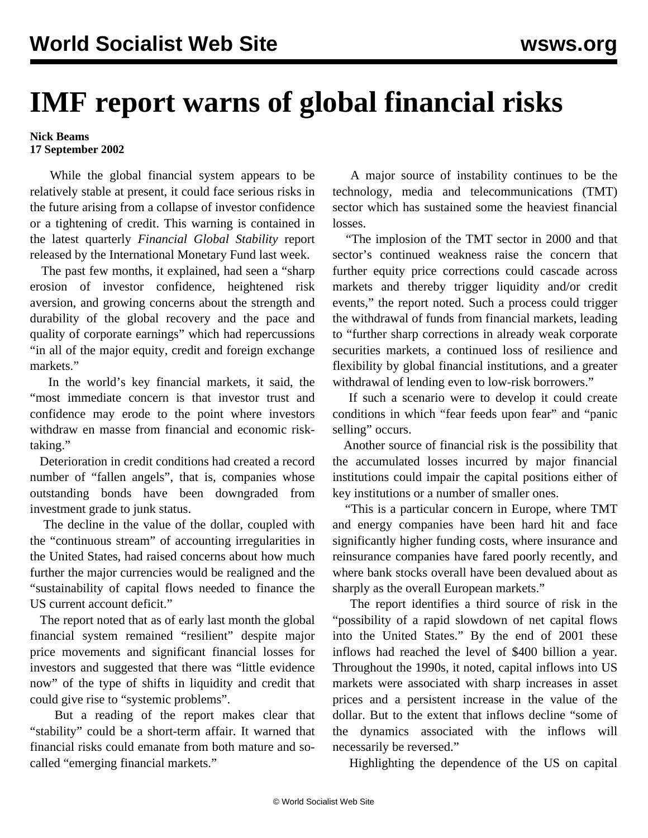## **IMF report warns of global financial risks**

## **Nick Beams 17 September 2002**

 While the global financial system appears to be relatively stable at present, it could face serious risks in the future arising from a collapse of investor confidence or a tightening of credit. This warning is contained in the latest quarterly *Financial Global Stability* report released by the International Monetary Fund last week.

 The past few months, it explained, had seen a "sharp erosion of investor confidence, heightened risk aversion, and growing concerns about the strength and durability of the global recovery and the pace and quality of corporate earnings" which had repercussions "in all of the major equity, credit and foreign exchange markets."

 In the world's key financial markets, it said, the "most immediate concern is that investor trust and confidence may erode to the point where investors withdraw en masse from financial and economic risktaking."

 Deterioration in credit conditions had created a record number of "fallen angels", that is, companies whose outstanding bonds have been downgraded from investment grade to junk status.

 The decline in the value of the dollar, coupled with the "continuous stream" of accounting irregularities in the United States, had raised concerns about how much further the major currencies would be realigned and the "sustainability of capital flows needed to finance the US current account deficit."

 The report noted that as of early last month the global financial system remained "resilient" despite major price movements and significant financial losses for investors and suggested that there was "little evidence now" of the type of shifts in liquidity and credit that could give rise to "systemic problems".

 But a reading of the report makes clear that "stability" could be a short-term affair. It warned that financial risks could emanate from both mature and socalled "emerging financial markets."

 A major source of instability continues to be the technology, media and telecommunications (TMT) sector which has sustained some the heaviest financial losses.

 "The implosion of the TMT sector in 2000 and that sector's continued weakness raise the concern that further equity price corrections could cascade across markets and thereby trigger liquidity and/or credit events," the report noted. Such a process could trigger the withdrawal of funds from financial markets, leading to "further sharp corrections in already weak corporate securities markets, a continued loss of resilience and flexibility by global financial institutions, and a greater withdrawal of lending even to low-risk borrowers."

 If such a scenario were to develop it could create conditions in which "fear feeds upon fear" and "panic selling" occurs.

 Another source of financial risk is the possibility that the accumulated losses incurred by major financial institutions could impair the capital positions either of key institutions or a number of smaller ones.

 "This is a particular concern in Europe, where TMT and energy companies have been hard hit and face significantly higher funding costs, where insurance and reinsurance companies have fared poorly recently, and where bank stocks overall have been devalued about as sharply as the overall European markets."

 The report identifies a third source of risk in the "possibility of a rapid slowdown of net capital flows into the United States." By the end of 2001 these inflows had reached the level of \$400 billion a year. Throughout the 1990s, it noted, capital inflows into US markets were associated with sharp increases in asset prices and a persistent increase in the value of the dollar. But to the extent that inflows decline "some of the dynamics associated with the inflows will necessarily be reversed."

Highlighting the dependence of the US on capital